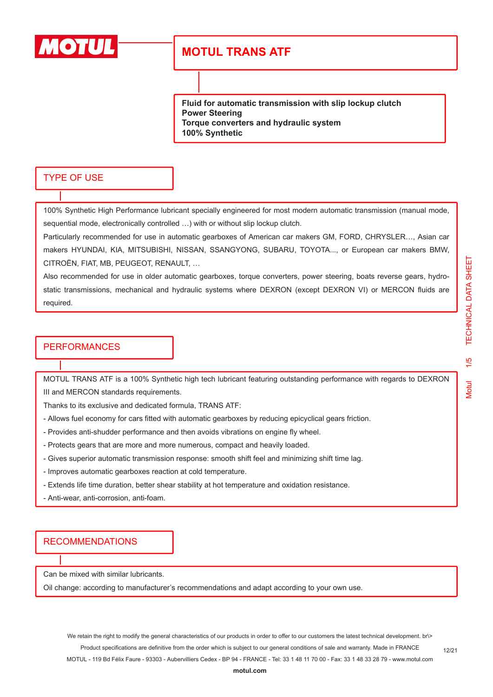

**Fluid for automatic transmission with slip lockup clutch Power Steering Torque converters and hydraulic system 100% Synthetic**

#### TYPE OF USE

100% Synthetic High Performance lubricant specially engineered for most modern automatic transmission (manual mode, sequential mode, electronically controlled …) with or without slip lockup clutch.

Particularly recommended for use in automatic gearboxes of American car makers GM, FORD, CHRYSLER…, Asian car makers HYUNDAI, KIA, MITSUBISHI, NISSAN, SSANGYONG, SUBARU, TOYOTA..., or European car makers BMW, CITROËN, FIAT, MB, PEUGEOT, RENAULT, …

Also recommended for use in older automatic gearboxes, torque converters, power steering, boats reverse gears, hydrostatic transmissions, mechanical and hydraulic systems where DEXRON (except DEXRON VI) or MERCON fluids are required.

#### **PERFORMANCES**

MOTUL TRANS ATF is a 100% Synthetic high tech lubricant featuring outstanding performance with regards to DEXRON III and MERCON standards requirements.

Thanks to its exclusive and dedicated formula, TRANS ATF:

- Allows fuel economy for cars fitted with automatic gearboxes by reducing epicyclical gears friction.
- Provides anti-shudder performance and then avoids vibrations on engine fly wheel.
- Protects gears that are more and more numerous, compact and heavily loaded.
- Gives superior automatic transmission response: smooth shift feel and minimizing shift time lag.
- Improves automatic gearboxes reaction at cold temperature.
- Extends life time duration, better shear stability at hot temperature and oxidation resistance.
- Anti-wear, anti-corrosion, anti-foam.

#### **RECOMMENDATIONS**

Can be mixed with similar lubricants.

Oil change: according to manufacturer's recommendations and adapt according to your own use.

12/21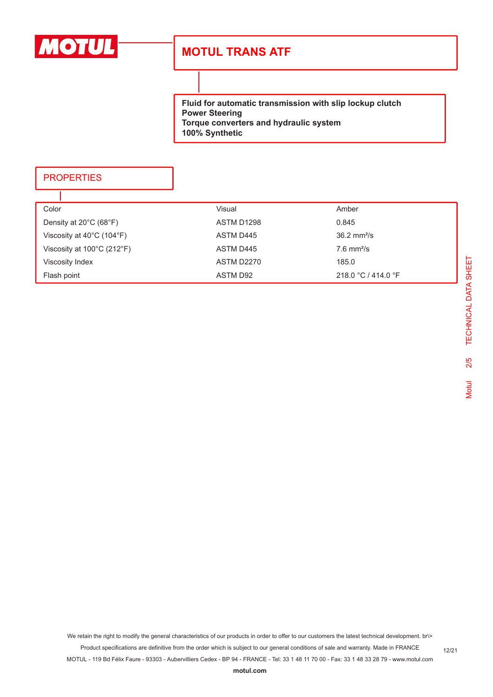

**Fluid for automatic transmission with slip lockup clutch Power Steering Torque converters and hydraulic system 100% Synthetic**

### **PROPERTIES**

| Color                                           | Visual     | Amber                        |
|-------------------------------------------------|------------|------------------------------|
| Density at $20^{\circ}$ C (68 $^{\circ}$ F)     | ASTM D1298 | 0.845                        |
| Viscosity at $40^{\circ}$ C (104 $^{\circ}$ F)  | ASTM D445  | $36.2 \text{ mm}^2/\text{s}$ |
| Viscosity at $100^{\circ}$ C (212 $^{\circ}$ F) | ASTM D445  | $7.6$ mm <sup>2</sup> /s     |
| Viscosity Index                                 | ASTM D2270 | 185.0                        |
| Flash point                                     | ASTM D92   | 218.0 °C / 414.0 °F          |

We retain the right to modify the general characteristics of our products in order to offer to our customers the latest technical development. br\> Product specifications are definitive from the order which is subject to our general conditions of sale and warranty. Made in FRANCE

MOTUL - 119 Bd Félix Faure - 93303 - Aubervilliers Cedex - BP 94 - FRANCE - Tel: 33 1 48 11 70 00 - Fax: 33 1 48 33 28 79 - www.motul.com

12/21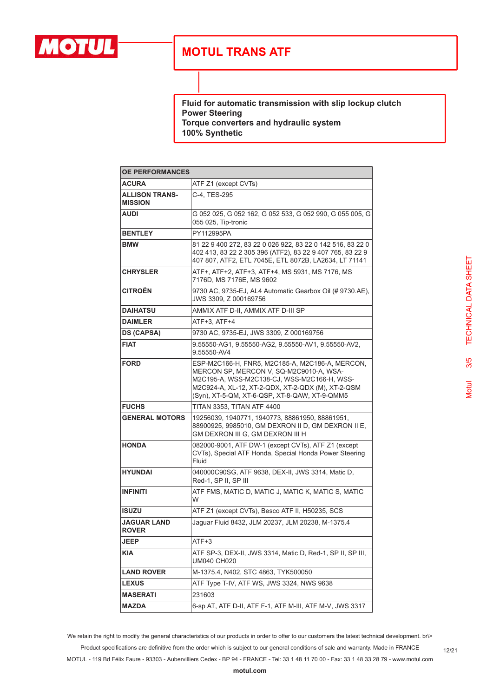

**Fluid for automatic transmission with slip lockup clutch Power Steering Torque converters and hydraulic system 100% Synthetic**

| <b>OE PERFORMANCES</b>                  |                                                                                                                                                                                                                                                 |  |
|-----------------------------------------|-------------------------------------------------------------------------------------------------------------------------------------------------------------------------------------------------------------------------------------------------|--|
| <b>ACURA</b>                            | ATF Z1 (except CVTs)                                                                                                                                                                                                                            |  |
| <b>ALLISON TRANS-</b><br><b>MISSION</b> | C-4, TES-295                                                                                                                                                                                                                                    |  |
| <b>AUDI</b>                             | G 052 025, G 052 162, G 052 533, G 052 990, G 055 005, G<br>055 025, Tip-tronic                                                                                                                                                                 |  |
| <b>BENTLEY</b>                          | PY112995PA                                                                                                                                                                                                                                      |  |
| <b>BMW</b>                              | 81 22 9 400 272, 83 22 0 026 922, 83 22 0 142 516, 83 22 0<br>402 413, 83 22 2 305 396 (ATF2), 83 22 9 407 765, 83 22 9<br>407 807, ATF2, ETL 7045E, ETL 8072B, LA2634, LT 71141                                                                |  |
| <b>CHRYSLER</b>                         | ATF+, ATF+2, ATF+3, ATF+4, MS 5931, MS 7176, MS<br>7176D, MS 7176E, MS 9602                                                                                                                                                                     |  |
| <b>CITROËN</b>                          | 9730 AC, 9735-EJ, AL4 Automatic Gearbox Oil (# 9730.AE),<br>JWS 3309, Z 000169756                                                                                                                                                               |  |
| <b>DAIHATSU</b>                         | AMMIX ATF D-II, AMMIX ATF D-III SP                                                                                                                                                                                                              |  |
| <b>DAIMLER</b>                          | ATF+3, ATF+4                                                                                                                                                                                                                                    |  |
| <b>DS (CAPSA)</b>                       | 9730 AC. 9735-EJ. JWS 3309, Z 000169756                                                                                                                                                                                                         |  |
| <b>FIAT</b>                             | 9.55550-AG1, 9.55550-AG2, 9.55550-AV1, 9.55550-AV2,<br>9.55550-AV4                                                                                                                                                                              |  |
| <b>FORD</b>                             | ESP-M2C166-H, FNR5, M2C185-A, M2C186-A, MERCON,<br>MERCON SP, MERCON V, SQ-M2C9010-A, WSA-<br>M2C195-A, WSS-M2C138-CJ, WSS-M2C166-H, WSS-<br>M2C924-A, XL-12, XT-2-QDX, XT-2-QDX (M), XT-2-QSM<br>(Syn), XT-5-QM, XT-6-QSP, XT-8-QAW, XT-9-QMM5 |  |
| <b>FUCHS</b>                            | TITAN 3353, TITAN ATF 4400                                                                                                                                                                                                                      |  |
| <b>GENERAL MOTORS</b>                   | 19256039, 1940771, 1940773, 88861950, 88861951,<br>88900925, 9985010, GM DEXRON II D, GM DEXRON II E,<br>GM DEXRON III G, GM DEXRON III H                                                                                                       |  |
| <b>HONDA</b>                            | 082000-9001, ATF DW-1 (except CVTs), ATF Z1 (except<br>CVTs), Special ATF Honda, Special Honda Power Steering<br>Fluid                                                                                                                          |  |
| <b>HYUNDAI</b>                          | 040000C90SG, ATF 9638, DEX-II, JWS 3314, Matic D,<br>Red-1, SP II, SP III                                                                                                                                                                       |  |
| <b>INFINITI</b>                         | ATF FMS, MATIC D, MATIC J, MATIC K, MATIC S, MATIC<br>W                                                                                                                                                                                         |  |
| <b>ISUZU</b>                            | ATF Z1 (except CVTs), Besco ATF II, H50235, SCS                                                                                                                                                                                                 |  |
| JAGUAR LAND<br><b>ROVER</b>             | Jaguar Fluid 8432, JLM 20237, JLM 20238, M-1375.4                                                                                                                                                                                               |  |
| JEEP                                    | ATF+3                                                                                                                                                                                                                                           |  |
| KIA                                     | ATF SP-3, DEX-II, JWS 3314, Matic D, Red-1, SP II, SP III,<br>UM040 CH020                                                                                                                                                                       |  |
| <b>LAND ROVER</b>                       | M-1375.4, N402, STC 4863, TYK500050                                                                                                                                                                                                             |  |
| <b>LEXUS</b>                            | ATF Type T-IV, ATF WS, JWS 3324, NWS 9638                                                                                                                                                                                                       |  |
| MASERATI                                | 231603                                                                                                                                                                                                                                          |  |
| MAZDA                                   | 6-sp AT, ATF D-II, ATF F-1, ATF M-III, ATF M-V, JWS 3317                                                                                                                                                                                        |  |

We retain the right to modify the general characteristics of our products in order to offer to our customers the latest technical development. br\> Product specifications are definitive from the order which is subject to our general conditions of sale and warranty. Made in FRANCE MOTUL - 119 Bd Félix Faure - 93303 - Aubervilliers Cedex - BP 94 - FRANCE - Tel: 33 1 48 11 70 00 - Fax: 33 1 48 33 28 79 - www.motul.com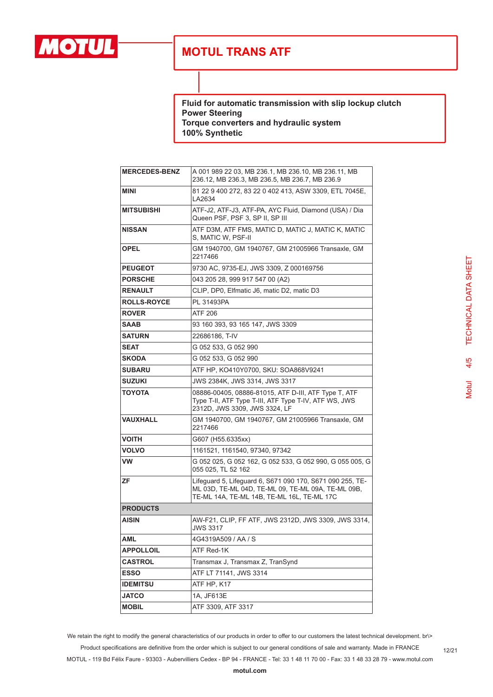

**Fluid for automatic transmission with slip lockup clutch Power Steering Torque converters and hydraulic system 100% Synthetic**

| <b>MERCEDES-BENZ</b> | A 001 989 22 03, MB 236.1, MB 236.10, MB 236.11, MB<br>236.12, MB 236.3, MB 236.5, MB 236.7, MB 236.9                                                         |
|----------------------|---------------------------------------------------------------------------------------------------------------------------------------------------------------|
| <b>MINI</b>          | 81 22 9 400 272, 83 22 0 402 413, ASW 3309, ETL 7045E,<br>LA2634                                                                                              |
| <b>MITSUBISHI</b>    | ATF-J2, ATF-J3, ATF-PA, AYC Fluid, Diamond (USA) / Dia<br>Queen PSF, PSF 3, SP II, SP III                                                                     |
| <b>NISSAN</b>        | ATF D3M, ATF FMS, MATIC D, MATIC J, MATIC K, MATIC<br>S, MATIC W, PSF-II                                                                                      |
| <b>OPEL</b>          | GM 1940700, GM 1940767, GM 21005966 Transaxle, GM<br>2217466                                                                                                  |
| <b>PEUGEOT</b>       | 9730 AC, 9735-EJ, JWS 3309, Z 000169756                                                                                                                       |
| <b>PORSCHE</b>       | 043 205 28, 999 917 547 00 (A2)                                                                                                                               |
| <b>RENAULT</b>       | CLIP, DP0, Elfmatic J6, matic D2, matic D3                                                                                                                    |
| <b>ROLLS-ROYCE</b>   | PL 31493PA                                                                                                                                                    |
| <b>ROVER</b>         | ATF 206                                                                                                                                                       |
| <b>SAAB</b>          | 93 160 393, 93 165 147, JWS 3309                                                                                                                              |
| <b>SATURN</b>        | 22686186. T-IV                                                                                                                                                |
| <b>SEAT</b>          | G 052 533, G 052 990                                                                                                                                          |
| <b>SKODA</b>         | G 052 533, G 052 990                                                                                                                                          |
| <b>SUBARU</b>        | ATF HP, KO410Y0700, SKU: SOA868V9241                                                                                                                          |
| <b>SUZUKI</b>        | JWS 2384K, JWS 3314, JWS 3317                                                                                                                                 |
| <b>TOYOTA</b>        | 08886-00405, 08886-81015, ATF D-III, ATF Type T, ATF<br>Type T-II, ATF Type T-III, ATF Type T-IV, ATF WS, JWS<br>2312D, JWS 3309, JWS 3324, LF                |
| <b>VAUXHALL</b>      | GM 1940700, GM 1940767, GM 21005966 Transaxle, GM<br>2217466                                                                                                  |
| <b>VOITH</b>         | G607 (H55.6335xx)                                                                                                                                             |
| <b>VOLVO</b>         | 1161521, 1161540, 97340, 97342                                                                                                                                |
| <b>VW</b>            | G 052 025, G 052 162, G 052 533, G 052 990, G 055 005, G<br>055 025, TL 52 162                                                                                |
| ZF                   | Lifeguard 5, Lifeguard 6, S671 090 170, S671 090 255, TE-<br>ML 03D, TE-ML 04D, TE-ML 09, TE-ML 09A, TE-ML 09B,<br>TE-ML 14A, TE-ML 14B, TE-ML 16L, TE-ML 17C |
| <b>PRODUCTS</b>      |                                                                                                                                                               |
| <b>AISIN</b>         | AW-F21, CLIP, FF ATF, JWS 2312D, JWS 3309, JWS 3314,<br><b>JWS 3317</b>                                                                                       |
| AML                  | 4G4319A509 / AA / S                                                                                                                                           |
| <b>APPOLLOIL</b>     | ATF Red-1K                                                                                                                                                    |
| <b>CASTROL</b>       | Transmax J, Transmax Z, TranSynd                                                                                                                              |
| <b>ESSO</b>          | ATF LT 71141, JWS 3314                                                                                                                                        |
| <b>IDEMITSU</b>      | ATF HP, K17                                                                                                                                                   |
| <b>JATCO</b>         | 1A, JF613E                                                                                                                                                    |
| <b>MOBIL</b>         | ATF 3309, ATF 3317                                                                                                                                            |

TECHNICAL DATA SHEET Motul 4/5 TECHNICAL DATA SHEET $4/5$ **Motul** 

We retain the right to modify the general characteristics of our products in order to offer to our customers the latest technical development. br\> Product specifications are definitive from the order which is subject to our general conditions of sale and warranty. Made in FRANCE

MOTUL - 119 Bd Félix Faure - 93303 - Aubervilliers Cedex - BP 94 - FRANCE - Tel: 33 1 48 11 70 00 - Fax: 33 1 48 33 28 79 - www.motul.com